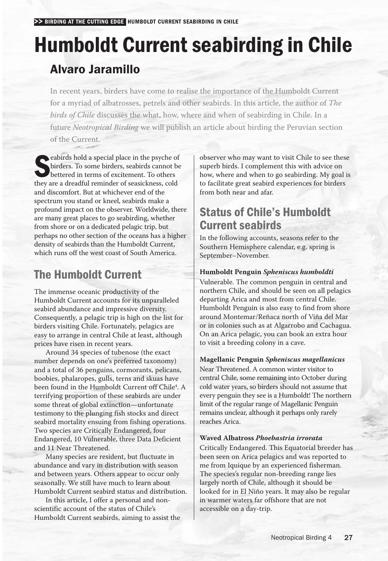# Humboldt Current seabirding in Chile Alvaro Jaramillo

In recent years, birders have come to realise the importance of the Humboldt Current for a myriad of albatrosses, petrels and other seabirds. In this article, the author of *The birds of Chile* discusses the what, how, where and when of seabirding in Chile. In a future *Neotropical Birding* we will publish an article about birding the Peruvian section of the Current.

eabirds hold a special place in the psyche of<br>birders. To some birders, seabirds cannot be<br>bettered in terms of excitement. To others<br>they are a dreadful reminder of easickness, cold birders. To some birders, seabirds cannot be bettered in terms of excitement. To others they are a dreadful reminder of seasickness, cold and discomfort. But at whichever end of the spectrum you stand or kneel, seabirds make a profound impact on the observer. Worldwide, there are many great places to go seabirding, whether from shore or on a dedicated pelagic trip, but perhaps no other section of the oceans has a higher density of seabirds than the Humboldt Current, which runs off the west coast of South America.

# The Humboldt Current

The immense oceanic productivity of the Humboldt Current accounts for its unparalleled seabird abundance and impressive diversity. Consequently, a pelagic trip is high on the list for birders visiting Chile. Fortunately, pelagics are easy to arrange in central Chile at least, although prices have risen in recent years.

Around 34 species of tubenose (the exact number depends on one's preferred taxonomy) and a total of 36 penguins, cormorants, pelicans, boobies, phalaropes, gulls, terns and skuas have been found in the Humboldt Current off Chile<sup>4</sup>. A terrifying proportion of these seabirds are under some threat of global extinction— unfortunate testimony to the plunging fish stocks and direct seabird mortality ensuing from fishing operations. Two species are Critically Endangered, four Endangered, 10 Vulnerable, three Data Deficient and 11 Near Threatened.

Many species are resident, but fluctuate in abundance and vary in distribution with season and between years. Others appear to occur only seasonally. We still have much to learn about Humboldt Current seabird status and distribution.

In this article, I offer a personal and non scientific account of the status of Chile's Humboldt Current seabirds, aiming to assist the

observer who may want to visit Chile to see these superb birds. I complement this with advice on how, where and when to go seabirding. My goal is to facilitate great seabird experiences for birders from both near and afar.

# Status of Chile's Humboldt Current seabirds

In the following accounts, seasons refer to the Southern Hemisphere calendar, e.g. spring is September–November.

# **Humboldt Penguin** *Spheniscus humboldti*

Vulnerable. The common penguin in central and northern Chile, and should be seen on all pelagics departing Arica and most from central Chile. Humboldt Penguin is also easy to find from shore around Montemar/Reñaca north of Viña del Mar or in colonies such as at Algarrobo and Cachagua. On an Arica pelagic, you can book an extra hour to visit a breeding colony in a cave.

# **Magellanic Penguin** *Spheniscus magellanicus*

Near Threatened. A common winter visitor to central Chile, some remaining into October during cold water years, so birders should not assume that every penguin they see is a Humboldt! The northern limit of the regular range of Magellanic Penguin remains unclear, although it perhaps only rarely reaches Arica.

#### **Waved Albatross** *Phoebastria irrorata*

Critically Endangered. This Equatorial breeder has been seen on Arica pelagics and was reported to me from Iquique by an experienced fisherman. The species's regular non- breeding range lies largely north of Chile, although it should be looked for in El Niño years. It may also be regular in warmer waters far offshore that are not accessible on a day-trip.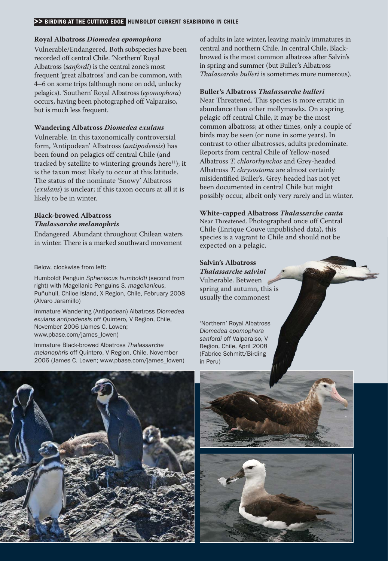#### >> BIRDING AT THE CUTTING EDGE HUMBOLDT CURRENT SEABIRDING IN CHILE

#### **Royal Albatross** *Diomedea epomophora*

Vulnerable/Endangered. Both subspecies have been recorded off central Chile. 'Northern' Royal Albatross (*sanfordi*) is the central zone's most frequent 'great albatross' and can be common, with 4–6 on some trips (although none on odd, unlucky pelagics). 'Southern' Royal Albatross (*epomophora*) occurs, having been photographed off Valparaiso, but is much less frequent.

#### **Wandering Albatross** *Diomedea exulans*

Vulnerable. In this taxonomically controversial form, 'Antipodean' Albatross (*antipodensis*) has been found on pelagics off central Chile (and tracked by satellite to wintering grounds here $11$ ); it is the taxon most likely to occur at this latitude. The status of the nominate 'Snowy' Albatross (*exulans*) is unclear; if this taxon occurs at all it is likely to be in winter.

# **Black- browed Albatross** *Thalassarche melanophris*

Endangered. Abundant throughout Chilean waters in winter. There is a marked southward movement

Below, clockwise from left:

Humboldt Penguin *Spheniscus humboldti* (second from right) with Magellanic Penguins *S. magellanicus*, Puñuhuil, Chiloe Island, X Region, Chile, February 2008 (Alvaro Jaramillo)

Immature Wandering (Antipodean) Albatross *Diomedea exulans antipodensis* off Quintero, V Region, Chile, November 2006 (James C. Lowen; www.pbase.com/james\_lowen)

Immature Black- browed Albatross *Thalassarche melanophris* off Quintero, V Region, Chile, November 2006 (James C. Lowen; www.pbase.com/james\_lowen) of adults in late winter, leaving mainly immatures in central and northern Chile. In central Chile, Black browed is the most common albatross after Salvin's in spring and summer (but Buller's Albatross *Thalassarche bulleri* is sometimes more numerous).

#### **Buller's Albatross** *Thalassarche bulleri*

Near Threatened. This species is more erratic in abundance than other mollymawks. On a spring pelagic off central Chile, it may be the most common albatross; at other times, only a couple of birds may be seen (or none in some years). In contrast to other albatrosses, adults predominate. Reports from central Chile of Yellow- nosed Albatross *T. chlororhynchos* and Grey- headed Albatross *T. chrysostoma* are almost certainly misidentified Buller's. Grey- headed has not yet been documented in central Chile but might possibly occur, albeit only very rarely and in winter.

**White- capped Albatross** *Thalassarche cauta* Near Threatened. Photographed once off Central Chile (Enrique Couve unpublished data), this species is a vagrant to Chile and should not be expected on a pelagic.

# **Salvin's Albatross**

*Thalassarche salvini* Vulnerable. Between spring and autumn, this is usually the commonest

'Northern' Royal Albatross *Diomedea epomophora sanfordi* off Valparaiso, V Region, Chile, April 2008 (Fabrice Schmitt/Birding in Peru)





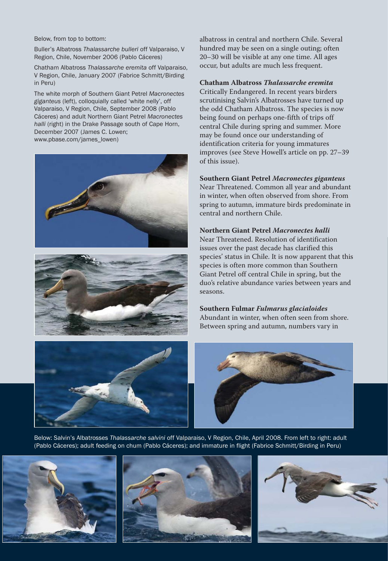Below, from top to bottom:

Buller's Albatross *Thalassarche bulleri* off Valparaiso, V Region, Chile, November 2006 (Pablo Cáceres)

Chatham Albatross *Thalassarche eremita* off Valparaiso, V Region, Chile, January 2007 (Fabrice Schmitt/Birding in Peru)

The white morph of Southern Giant Petrel *Macronectes giganteus* (left), colloquially called 'white nelly', off Valparaiso, V Region, Chile, September 2008 (Pablo Cáceres) and adult Northern Giant Petrel *Macronectes halli* (right) in the Drake Passage south of Cape Horn, December 2007 (James C. Lowen; www.pbase.com/james\_lowen)





albatross in central and northern Chile. Several hundred may be seen on a single outing; often 20–30 will be visible at any one time. All ages occur, but adults are much less frequent.

#### **Chatham Albatross** *Thalassarche eremita*

Critically Endangered. In recent years birders scrutinising Salvin's Albatrosses have turned up the odd Chatham Albatross. The species is now being found on perhaps one-fifth of trips off central Chile during spring and summer. More may be found once our understanding of identification criteria for young immatures improves (see Steve Howell's article on pp. 27–39 of this issue).

#### **Southern Giant Petrel** *Macronectes giganteus*

Near Threatened. Common all year and abundant in winter, when often observed from shore. From spring to autumn, immature birds predominate in central and northern Chile.

#### **Northern Giant Petrel** *Macronectes halli*

Near Threatened. Resolution of identification issues over the past decade has clarified this species' status in Chile. It is now apparent that this species is often more common than Southern Giant Petrel off central Chile in spring, but the duo's relative abundance varies between years and seasons.

### **Southern Fulmar** *Fulmarus glacialoides*

Abundant in winter, when often seen from shore. Between spring and autumn, numbers vary in





Below: Salvin's Albatrosses *Thalassarche salvini* off Valparaiso, V Region, Chile, April 2008. From left to right: adult (Pablo Cáceres); adult feeding on chum (Pablo Cáceres); and immature in flight (Fabrice Schmitt/Birding in Peru)





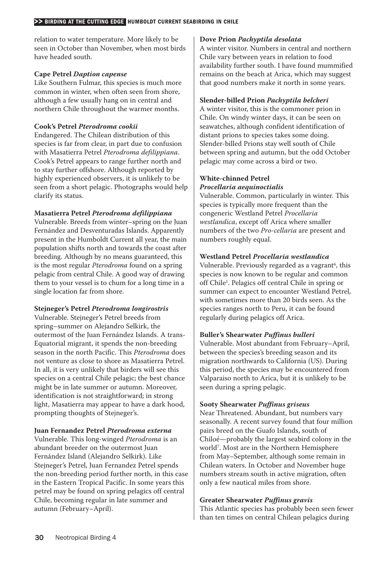relation to water temperature. More likely to be seen in October than November, when most birds have headed south.

#### **Cape Petrel** *Daption capense*

Like Southern Fulmar, this species is much more common in winter, when often seen from shore, although a few usually hang on in central and northern Chile throughout the warmer months.

# **Cook's Petrel** *Pterodroma cookii*

Endangered. The Chilean distribution of this species is far from clear, in part due to confusion with Masatierra Petrel *Pterodroma defilippiana*. Cook's Petrel appears to range further north and to stay further offshore. Although reported by highly experienced observers, it is unlikely to be seen from a short pelagic. Photographs would help clarify its status.

### **Masatierra Petrel** *Pterodroma defilippiana*

Vulnerable. Breeds from winter–spring on the Juan Fernández and Desventuradas Islands. Apparently present in the Humboldt Current all year, the main population shifts north and towards the coast after breeding. Although by no means guaranteed, this is the most regular *Pterodroma* found on a spring pelagic from central Chile. A good way of drawing them to your vessel is to chum for a long time in a single location far from shore.

# **Stejneger's Petrel** *Pterodroma longirostris*

Vulnerable. Stejneger's Petrel breeds from spring–summer on Alejandro Selkirk, the outermost of the Juan Fernández Islands. A trans- Equatorial migrant, it spends the non- breeding season in the north Pacific. This *Pterodroma* does not venture as close to shore as Masatierra Petrel. In all, it is very unlikely that birders will see this species on a central Chile pelagic; the best chance might be in late summer or autumn. Moreover, identification is not straightforward; in strong light, Masatierra may appear to have a dark hood, prompting thoughts of Stejneger's.

#### **Juan Fernandez Petrel** *Pterodroma externa*

Vulnerable. This long- winged *Pterodroma* is an abundant breeder on the outermost Juan Fernández Island (Alejandro Selkirk). Like Stejneger's Petrel, Juan Fernandez Petrel spends the non- breeding period further north, in this case in the Eastern Tropical Pacific. In some years this petrel may be found on spring pelagics off central Chile, becoming regular in late summer and autumn (February–April).

#### **Dove Prion** *Pachyptila desolata*

A winter visitor. Numbers in central and northern Chile vary between years in relation to food availability further south. I have found mummified remains on the beach at Arica, which may suggest that good numbers make it north in some years.

### **Slender- billed Prion** *Pachyptila belcheri*

A winter visitor, this is the commoner prion in Chile. On windy winter days, it can be seen on seawatches, although confident identification of distant prions to species takes some doing. Slender- billed Prions stay well south of Chile between spring and autumn, but the odd October pelagic may come across a bird or two.

### **White- chinned Petrel** *Procellaria aequinoctialis*

Vulnerable. Common, particularly in winter. This species is typically more frequent than the congeneric Westland Petrel *Procellaria westlandica*, except off Arica where smaller numbers of the two *Pro-cellaria* are present and numbers roughly equal.

# **Westland Petrel** *Procellaria westlandica*

Vulnerable. Previously regarded as a vagrant<sup>6</sup>, this species is now known to be regular and common off Chile<sup>1</sup>. Pelagics off central Chile in spring or summer can expect to encounter Westland Petrel, with sometimes more than 20 birds seen. As the species ranges north to Peru, it can be found regularly during pelagics off Arica.

# **Buller's Shearwater** *Puffinus bulleri*

Vulnerable. Most abundant from February–April, between the species's breeding season and its migration northwards to California (US). During this period, the species may be encountered from Valparaiso north to Arica, but it is unlikely to be seen during a spring pelagic.

# **Sooty Shearwater** *Puffinus griseus*

Near Threatened. Abundant, but numbers vary seasonally. A recent survey found that four million pairs breed on the Guafo Islands, south of Chiloé— probably the largest seabird colony in the world7. Most are in the Northern Hemisphere from May–September, although some remain in Chilean waters. In October and November huge numbers stream south in active migration, often only a few nautical miles from shore.

# **Greater Shearwater** *Puffinus gravis*

This Atlantic species has probably been seen fewer than ten times on central Chilean pelagics during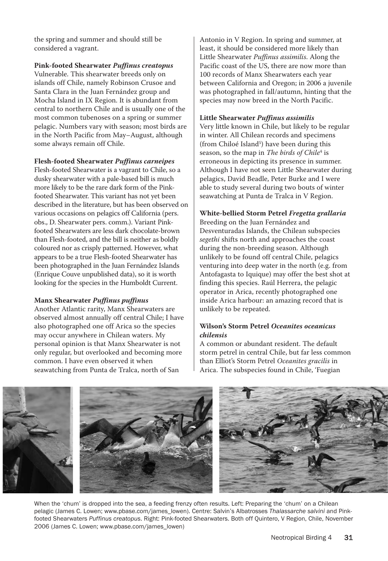the spring and summer and should still be considered a vagrant.

**Pink- footed Shearwater** *Puffinus creatopus*

Vulnerable. This shearwater breeds only on islands off Chile, namely Robinson Crusoe and Santa Clara in the Juan Fernández group and Mocha Island in IX Region. It is abundant from central to northern Chile and is usually one of the most common tubenoses on a spring or summer pelagic. Numbers vary with season; most birds are in the North Pacific from May–August, although some always remain off Chile.

**Flesh- footed Shearwater** *Puffinus carneipes*

Flesh- footed Shearwater is a vagrant to Chile, so a dusky shearwater with a pale-based bill is much more likely to be the rare dark form of the Pink footed Shearwater. This variant has not yet been described in the literature, but has been observed on various occasions on pelagics off California (pers. obs., D. Shearwater pers. comm.). Variant Pink footed Shearwaters are less dark chocolate-brown than Flesh- footed, and the bill is neither as boldly coloured nor as crisply patterned. However, what appears to be a true Flesh- footed Shearwater has been photographed in the Juan Fernández Islands (Enrique Couve unpublished data), so it is worth looking for the species in the Humboldt Current.

# **Manx Shearwater** *Puffinus puffinus*

Another Atlantic rarity, Manx Shearwaters are observed almost annually off central Chile; I have also photographed one off Arica so the species may occur anywhere in Chilean waters. My personal opinion is that Manx Shearwater is not only regular, but overlooked and becoming more common. I have even observed it when seawatching from Punta de Tralca, north of San

Antonio in V Region. In spring and summer, at least, it should be considered more likely than Little Shearwater *Puffinus assimilis*. Along the Pacific coast of the US, there are now more than 100 records of Manx Shearwaters each year between California and Oregon; in 2006 a juvenile was photographed in fall/autumn, hinting that the species may now breed in the North Pacific.

# **Little Shearwater** *Puffinus assimilis*

Very little known in Chile, but likely to be regular in winter. All Chilean records and specimens (from Chiloé Island<sup>5</sup>) have been during this season, so the map in *The birds of Chile*<sup>4</sup> is erroneous in depicting its presence in summer. Although I have not seen Little Shearwater during pelagics, David Beadle, Peter Burke and I were able to study several during two bouts of winter seawatching at Punta de Tralca in V Region.

# **White- bellied Storm Petrel** *Fregetta grallaria*

Breeding on the Juan Fernández and Desventuradas Islands, the Chilean subspecies *segethi* shifts north and approaches the coast during the non-breeding season. Although unlikely to be found off central Chile, pelagics venturing into deep water in the north (e.g. from Antofagasta to Iquique) may offer the best shot at finding this species. Raúl Herrera, the pelagic operator in Arica, recently photographed one inside Arica harbour: an amazing record that is unlikely to be repeated.

# **Wilson's Storm Petrel** *Oceanites oceanicus chilensis*

A common or abundant resident. The default storm petrel in central Chile, but far less common than Elliot's Storm Petrel *Oceanites gracilis* in Arica. The subspecies found in Chile, 'Fuegian



When the 'chum' is dropped into the sea, a feeding frenzy often results. Left: Preparing the 'chum' on a Chilean pelagic (James C. Lowen; www.pbase.com/james\_lowen). Centre: Salvin's Albatrosses *Thalassarche salvini* and Pink footed Shearwaters *Puffinus creatopus*. Right: Pink- footed Shearwaters. Both off Quintero, V Region, Chile, November 2006 (James C. Lowen; www.pbase.com/james\_lowen)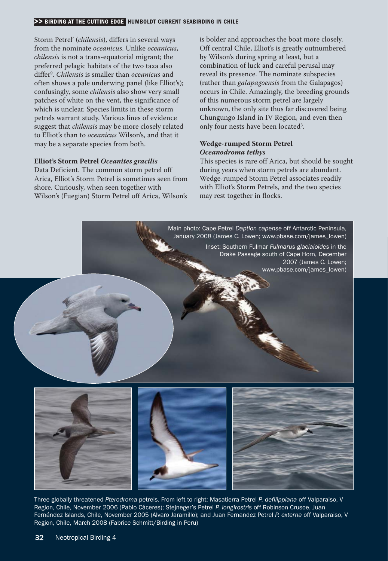#### >> BIRDING AT THE CUTTING EDGE HUMBOLDT CURRENT SEABIRDING IN CHILE

Storm Petrel' (*chilensis*), differs in several ways from the nominate *oceanicus*. Unlike *oceanicus*, *chilensis* is not a trans-equatorial migrant; the preferred pelagic habitats of the two taxa also differ9. *Chilensis* is smaller than *oceanicus* and often shows a pale underwing panel (like Elliot's); confusingly, some *chilensis* also show very small patches of white on the vent, the significance of which is unclear. Species limits in these storm petrels warrant study. Various lines of evidence suggest that *chilensis* may be more closely related to Elliot's than to *oceanicus* Wilson's, and that it may be a separate species from both.

#### **Elliot's Storm Petrel** *Oceanites gracilis*

Data Deficient. The common storm petrel off Arica, Elliot's Storm Petrel is sometimes seen from shore. Curiously, when seen together with Wilson's (Fuegian) Storm Petrel off Arica, Wilson's

is bolder and approaches the boat more closely. Off central Chile, Elliot's is greatly outnumbered by Wilson's during spring at least, but a combination of luck and careful perusal may reveal its presence. The nominate subspecies (rather than *galapagoensis* from the Galapagos) occurs in Chile. Amazingly, the breeding grounds of this numerous storm petrel are largely unknown, the only site thus far discovered being Chungungo Island in IV Region, and even then only four nests have been located3.

#### **Wedge- rumped Storm Petrel** *Oceanodroma tethys*

This species is rare off Arica, but should be sought during years when storm petrels are abundant. Wedge-rumped Storm Petrel associates readily with Elliot's Storm Petrels, and the two species may rest together in flocks.





Three globally threatened *Pterodroma* petrels. From left to right: Masatierra Petrel *P. defilippiana* off Valparaiso, V Region, Chile, November 2006 (Pablo Cáceres); Stejneger's Petrel *P. longirostris* off Robinson Crusoe, Juan Fernández Islands, Chile, November 2005 (Alvaro Jaramillo); and Juan Fernandez Petrel *P. externa* off Valparaiso, V Region, Chile, March 2008 (Fabrice Schmitt/Birding in Peru)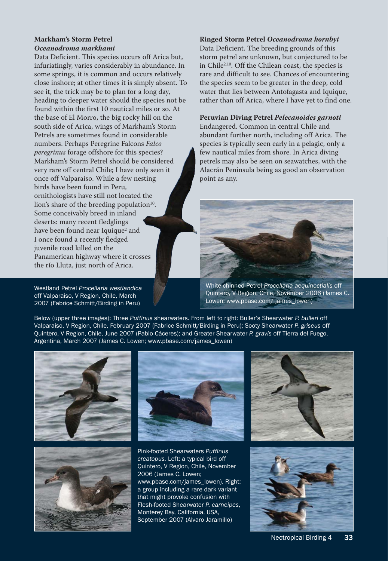# **Markham's Storm Petrel** *Oceanodroma markhami*

Data Deficient. This species occurs off Arica but, infuriatingly, varies considerably in abundance. In some springs, it is common and occurs relatively close inshore; at other times it is simply absent. To see it, the trick may be to plan for a long day, heading to deeper water should the species not be found within the first 10 nautical miles or so. At the base of El Morro, the big rocky hill on the south side of Arica, wings of Markham's Storm Petrels are sometimes found in considerable numbers. Perhaps Peregrine Falcons *Falco peregrinus* forage offshore for this species? Markham's Storm Petrel should be considered very rare off central Chile; I have only seen it once off Valparaiso. While a few nesting birds have been found in Peru, ornithologists have still not located the lion's share of the breeding population $10$ . Some conceivably breed in inland deserts: many recent fledglings have been found near Iquique<sup>2</sup> and I once found a recently fledged juvenile road killed on the Panamerican highway where it crosses the río Lluta, just north of Arica.

Westland Petrel *Procellaria westlandica* off Valparaiso, V Region, Chile, March 2007 (Fabrice Schmitt/Birding in Peru)

#### **Ringed Storm Petrel** *Oceanodroma hornbyi*

Data Deficient. The breeding grounds of this storm petrel are unknown, but conjectured to be in Chile2,10. Off the Chilean coast, the species is rare and difficult to see. Chances of encountering the species seem to be greater in the deep, cold water that lies between Antofagasta and Iquique, rather than off Arica, where I have yet to find one.

**Peruvian Diving Petrel** *Pelecanoides garnoti* Endangered. Common in central Chile and abundant further north, including off Arica. The species is typically seen early in a pelagic, only a few nautical miles from shore. In Arica diving petrels may also be seen on seawatches, with the Alacrán Peninsula being as good an observation point as any.



White- chinned Petrel *Procellaria aequinoctialis* off Quintero, V Region, Chile, November 2006 (James C. Lowen; www.pbase.com/ james\_lowen)

Below (upper three images): Three *Puffinus* shearwaters. From left to right: Buller's Shearwater *P. bulleri* off Valparaiso, V Region, Chile, February 2007 (Fabrice Schmitt/Birding in Peru); Sooty Shearwater *P. griseus* off Quintero, V Region, Chile, June 2007 (Pablo Cáceres); and Greater Shearwater *P. gravis* off Tierra del Fuego, Argentina, March 2007 (James C. Lowen; www.pbase.com/james\_lowen)







Pink- footed Shearwaters *Puffinus creatopus.* Left: a typical bird off Quintero, V Region, Chile, November 2006 (James C. Lowen; www.pbase.com/james\_lowen). Right: a group including a rare dark variant that might provoke confusion with Flesh- footed Shearwater *P. carneipes*, Monterey Bay, California, USA, September 2007 (Alvaro Jaramillo)



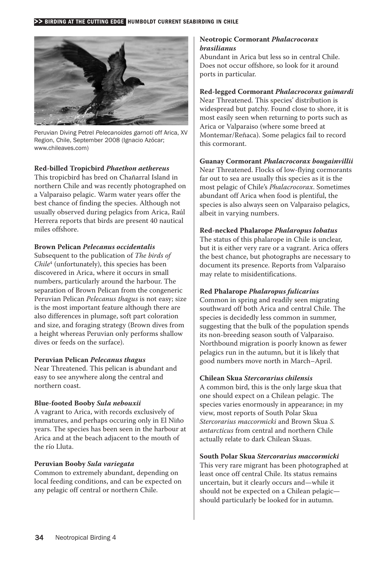

Peruvian Diving Petrel *Pelecanoides garnoti* off Arica, XV Region, Chile, September 2008 (Ignacio Azócar; www.chileaves.com)

# **Red- billed Tropicbird** *Phaethon aethereus*

This tropicbird has bred on Chañarral Island in northern Chile and was recently photographed on a Valparaiso pelagic. Warm water years offer the best chance of finding the species. Although not usually observed during pelagics from Arica, Raúl Herrera reports that birds are present 40 nautical miles offshore.

### **Brown Pelican** *Pelecanus occidentalis*

Subsequent to the publication of *The birds of Chile*<sup>4</sup> (unfortunately), this species has been discovered in Arica, where it occurs in small numbers, particularly around the harbour. The separation of Brown Pelican from the congeneric Peruvian Pelican *Pelecanus thagus* is not easy; size is the most important feature although there are also differences in plumage, soft part coloration and size, and foraging strategy (Brown dives from a height whereas Peruvian only performs shallow dives or feeds on the surface).

# **Peruvian Pelican** *Pelecanus thagus*

Near Threatened. This pelican is abundant and easy to see anywhere along the central and northern coast.

# **Blue- footed Booby** *Sula nebouxii*

A vagrant to Arica, with records exclusively of immatures, and perhaps occuring only in El Niño years. The species has been seen in the harbour at Arica and at the beach adjacent to the mouth of the río Lluta.

#### **Peruvian Booby** *Sula variegata*

Common to extremely abundant, depending on local feeding conditions, and can be expected on any pelagic off central or northern Chile.

# **Neotropic Cormorant** *Phalacrocorax brasilianus*

Abundant in Arica but less so in central Chile. Does not occur offshore, so look for it around ports in particular.

# **Red- legged Cormorant** *Phalacrocorax gaimardi*

Near Threatened. This species' distribution is widespread but patchy. Found close to shore, it is most easily seen when returning to ports such as Arica or Valparaiso (where some breed at Montemar/Reñaca). Some pelagics fail to record this cormorant.

# **Guanay Cormorant** *Phalacrocorax bougainvillii*

Near Threatened. Flocks of low-flying cormorants far out to sea are usually this species as it is the most pelagic of Chile's *Phalacrocorax*. Sometimes abundant off Arica when food is plentiful, the species is also always seen on Valparaiso pelagics, albeit in varying numbers.

# **Red- necked Phalarope** *Phalaropus lobatus*

The status of this phalarope in Chile is unclear, but it is either very rare or a vagrant. Arica offers the best chance, but photographs are necessary to document its presence. Reports from Valparaiso may relate to misidentifications.

# **Red Phalarope** *Phalaropus fulicarius*

Common in spring and readily seen migrating southward off both Arica and central Chile. The species is decidedly less common in summer, suggesting that the bulk of the population spends its non-breeding season south of Valparaiso. Northbound migration is poorly known as fewer pelagics run in the autumn, but it is likely that good numbers move north in March–April.

# **Chilean Skua** *Stercorarius chilensis*

A common bird, this is the only large skua that one should expect on a Chilean pelagic. The species varies enormously in appearance; in my view, most reports of South Polar Skua *Stercorarius maccormicki* and Brown Skua *S. antarcticus* from central and northern Chile actually relate to dark Chilean Skuas.

# **South Polar Skua** *Stercorarius maccormicki*

This very rare migrant has been photographed at least once off central Chile. Its status remains uncertain, but it clearly occurs and— while it should not be expected on a Chilean pelagic should particularly be looked for in autumn.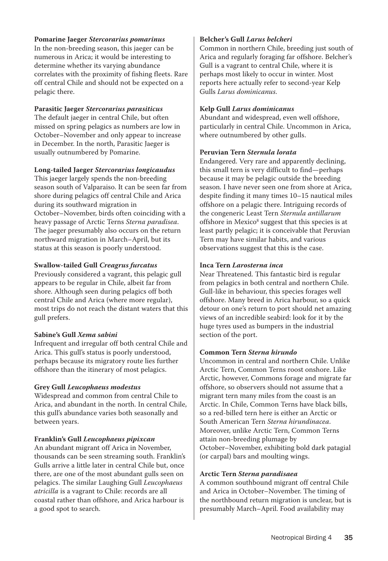# **Pomarine Jaeger** *Stercorarius pomarinus*

In the non-breeding season, this jaeger can be. numerous in Arica; it would be interesting to determine whether its varying abundance correlates with the proximity of fishing fleets. Rare off central Chile and should not be expected on a pelagic there.

# **Parasitic Jaeger** *Stercorarius parasiticus*

The default jaeger in central Chile, but often missed on spring pelagics as numbers are low in October–November and only appear to increase in December. In the north, Parasitic Jaeger is usually outnumbered by Pomarine.

#### **Long- tailed Jaeger** *Stercorarius longicaudus*

This jaeger largely spends the non-breeding season south of Valparaiso. It can be seen far from shore during pelagics off central Chile and Arica during its southward migration in October–November, birds often coinciding with a heavy passage of Arctic Terns *Sterna paradisea*. The jaeger presumably also occurs on the return northward migration in March–April, but its status at this season is poorly understood.

#### **Swallow- tailed Gull** *Creagrus furcatus*

Previously considered a vagrant, this pelagic gull appears to be regular in Chile, albeit far from shore. Although seen during pelagics off both central Chile and Arica (where more regular), most trips do not reach the distant waters that this gull prefers.

#### **Sabine's Gull** *Xema sabini*

Infrequent and irregular off both central Chile and Arica. This gull's status is poorly understood, perhaps because its migratory route lies further offshore than the itinerary of most pelagics.

#### **Grey Gull** *Leucophaeus modestus*

Widespread and common from central Chile to Arica, and abundant in the north. In central Chile, this gull's abundance varies both seasonally and between years.

#### **Franklin's Gull** *Leucophaeus pipixcan*

An abundant migrant off Arica in November, thousands can be seen streaming south. Franklin's Gulls arrive a little later in central Chile but, once there, are one of the most abundant gulls seen on pelagics. The similar Laughing Gull *Leucophaeus atricilla* is a vagrant to Chile: records are all coastal rather than offshore, and Arica harbour is a good spot to search.

#### **Belcher's Gull** *Larus belcheri*

Common in northern Chile, breeding just south of Arica and regularly foraging far offshore. Belcher's Gull is a vagrant to central Chile, where it is perhaps most likely to occur in winter. Most reports here actually refer to second- year Kelp Gulls *Larus dominicanus*.

# **Kelp Gull** *Larus dominicanus*

Abundant and widespread, even well offshore, particularly in central Chile. Uncommon in Arica, where outnumbered by other gulls.

#### **Peruvian Tern** *Sternula lorata*

Endangered. Very rare and apparently declining, this small tern is very difficult to find— perhaps because it may be pelagic outside the breeding season. I have never seen one from shore at Arica, despite finding it many times 10–15 nautical miles offshore on a pelagic there. Intriguing records of the congeneric Least Tern *Sternula antillarum* offshore in Mexico<sup>8</sup> suggest that this species is at least partly pelagic; it is conceivable that Peruvian Tern may have similar habits, and various observations suggest that this is the case.

#### **Inca Tern** *Larosterna inca*

Near Threatened. This fantastic bird is regular from pelagics in both central and northern Chile. Gull-like in behaviour, this species forages well offshore. Many breed in Arica harbour, so a quick detour on one's return to port should net amazing views of an incredible seabird: look for it by the huge tyres used as bumpers in the industrial section of the port.

#### **Common Tern** *Sterna hirundo*

Uncommon in central and northern Chile. Unlike Arctic Tern, Common Terns roost onshore. Like Arctic, however, Commons forage and migrate far offshore, so observers should not assume that a migrant tern many miles from the coast is an Arctic. In Chile, Common Terns have black bills, so a red- billed tern here is either an Arctic or South American Tern *Sterna hirundinacea*. Moreover, unlike Arctic Tern, Common Terns attain non- breeding plumage by October–November, exhibiting bold dark patagial (or carpal) bars and moulting wings.

#### **Arctic Tern** *Sterna paradisaea*

A common southbound migrant off central Chile and Arica in October–November. The timing of the northbound return migration is unclear, but is presumably March–April. Food availability may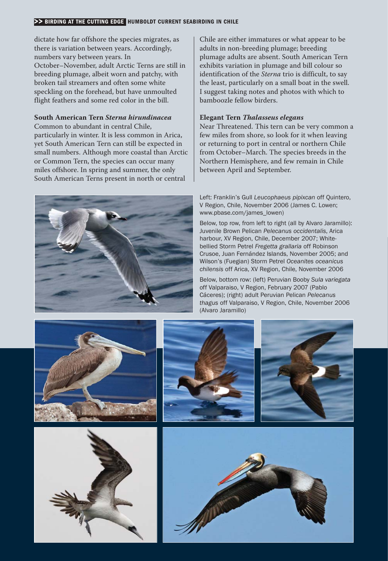#### >> BIRDING AT THE CUTTING EDGE HUMBOLDT CURRENT SEABIRDING IN CHILE

dictate how far offshore the species migrates, as there is variation between years. Accordingly, numbers vary between years. In October–November, adult Arctic Terns are still in breeding plumage, albeit worn and patchy, with broken tail streamers and often some white speckling on the forehead, but have unmoulted flight feathers and some red color in the bill.

#### **South American Tern** *Sterna hirundinacea*

Common to abundant in central Chile, particularly in winter. It is less common in Arica, yet South American Tern can still be expected in small numbers. Although more coastal than Arctic or Common Tern, the species can occur many miles offshore. In spring and summer, the only South American Terns present in north or central

Chile are either immatures or what appear to be adults in non-breeding plumage; breeding plumage adults are absent. South American Tern exhibits variation in plumage and bill colour so identification of the *Sterna* trio is difficult, to say the least, particularly on a small boat in the swell. I suggest taking notes and photos with which to bamboozle fellow birders.

#### **Elegant Tern** *Thalasseus elegans*

Near Threatened. This tern can be very common a few miles from shore, so look for it when leaving or returning to port in central or northern Chile from October–March. The species breeds in the Northern Hemisphere, and few remain in Chile between April and September.



Left: Franklin's Gull *Leucophaeus pipixcan* off Quintero, V Region, Chile, November 2006 (James C. Lowen; www.pbase.com/james\_lowen)

Below, top row, from left to right (all by Alvaro Jaramillo): Juvenile Brown Pelican *Pelecanus occidentalis*, Arica harbour, XV Region, Chile, December 2007; White bellied Storm Petrel *Fregetta grallaria* off Robinson Crusoe, Juan Fernández Islands, November 2005; and Wilson's (Fuegian) Storm Petrel *Oceanites oceanicus chilensis* off Arica, XV Region, Chile, November 2006

Below, bottom row: (left) Peruvian Booby *Sula variegata* off Valparaiso, V Region, February 2007 (Pablo Cáceres); (right) adult Peruvian Pelican *Pelecanus thagus* off Valparaiso, V Region, Chile, November 2006 (Alvaro Jaramillo)









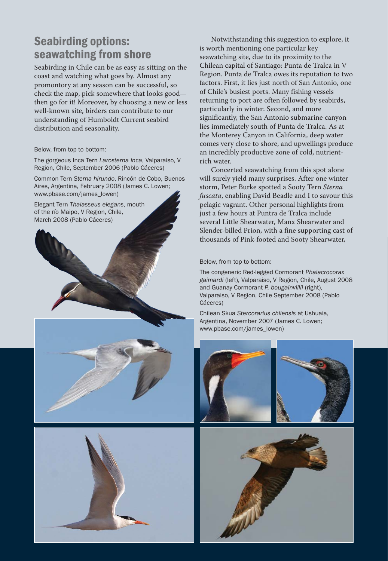# Seabirding options: seawatching from shore

Seabirding in Chile can be as easy as sitting on the coast and watching what goes by. Almost any promontory at any season can be successful, so check the map, pick somewhere that looks good then go for it! Moreover, by choosing a new or less well-known site, birders can contribute to our understanding of Humboldt Current seabird distribution and seasonality.

Below, from top to bottom:

The gorgeous Inca Tern *Larosterna inca*, Valparaiso, V Region, Chile, September 2006 (Pablo Cáceres)

Common Tern *Sterna hirundo*, Rincón de Cobo, Buenos Aires, Argentina, February 2008 (James C. Lowen; www.pbase.com/james\_lowen)

Elegant Tern *Thalasseus elegans*, mouth of the río Maipo, V Region, Chile, March 2008 (Pablo Cáceres)







Notwithstanding this suggestion to explore, it is worth mentioning one particular key seawatching site, due to its proximity to the Chilean capital of Santiago: Punta de Tralca in V Region. Punta de Tralca owes its reputation to two factors. First, it lies just north of San Antonio, one of Chile's busiest ports. Many fishing vessels returning to port are often followed by seabirds, particularly in winter. Second, and more significantly, the San Antonio submarine canyon lies immediately south of Punta de Tralca. As at the Monterey Canyon in California, deep water comes very close to shore, and upwellings produce an incredibly productive zone of cold, nutrient rich water.

Concerted seawatching from this spot alone will surely yield many surprises. After one winter storm, Peter Burke spotted a Sooty Tern *Sterna fuscata*, enabling David Beadle and I to savour this pelagic vagrant. Other personal highlights from just a few hours at Puntra de Tralca include several Little Shearwater, Manx Shearwater and Slender- billed Prion, with a fine supporting cast of thousands of Pink- footed and Sooty Shearwater,

#### Below, from top to bottom:

The congeneric Red- legged Cormorant *Phalacrocorax gaimardi* (left), Valparaiso, V Region, Chile, August 2008 and Guanay Cormorant *P. bougainvillii* (right), Valparaiso, V Region, Chile September 2008 (Pablo Cáceres)

Chilean Skua *Stercorarius chilensis* at Ushuaia, Argentina, November 2007 (James C. Lowen; www.pbase.com/james\_lowen)



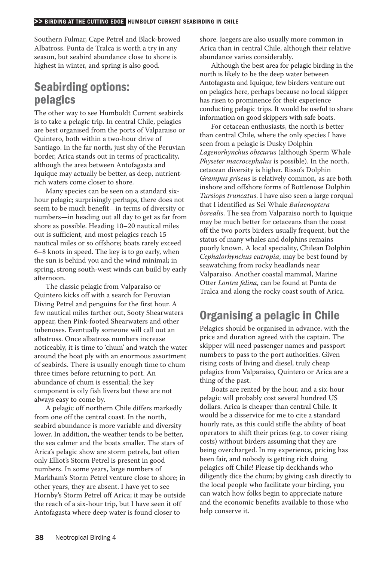Southern Fulmar, Cape Petrel and Black-browed Albatross. Punta de Tralca is worth a try in any season, but seabird abundance close to shore is highest in winter, and spring is also good.

# Seabirding options: pelagics

The other way to see Humboldt Current seabirds is to take a pelagic trip. In central Chile, pelagics are best organised from the ports of Valparaiso or Quintero, both within a two-hour drive of Santiago. In the far north, just shy of the Peruvian border, Arica stands out in terms of practicality, although the area between Antofagasta and Iquique may actually be better, as deep, nutrient rich waters come closer to shore.

Many species can be seen on a standard six hour pelagic; surprisingly perhaps, there does not seem to be much benefit— in terms of diversity or numbers— in heading out all day to get as far from shore as possible. Heading 10–20 nautical miles out is sufficient, and most pelagics reach 15 nautical miles or so offshore; boats rarely exceed 6–8 knots in speed. The key is to go early, when the sun is behind you and the wind minimal; in spring, strong south- west winds can build by early afternoon.

The classic pelagic from Valparaiso or Quintero kicks off with a search for Peruvian Diving Petrel and penguins for the first hour. A few nautical miles farther out, Sooty Shearwaters appear, then Pink-footed Shearwaters and other tubenoses. Eventually someone will call out an albatross. Once albatross numbers increase noticeably, it is time to 'chum' and watch the water around the boat ply with an enormous assortment of seabirds. There is usually enough time to chum three times before returning to port. An abundance of chum is essential; the key component is oily fish livers but these are not always easy to come by.

A pelagic off northern Chile differs markedly from one off the central coast. In the north, seabird abundance is more variable and diversity lower. In addition, the weather tends to be better, the sea calmer and the boats smaller. The stars of Arica's pelagic show are storm petrels, but often only Elliot's Storm Petrel is present in good numbers. In some years, large numbers of Markham's Storm Petrel venture close to shore; in other years, they are absent. I have yet to see Hornby's Storm Petrel off Arica; it may be outside the reach of a six- hour trip, but I have seen it off Antofagasta where deep water is found closer to

shore. Jaegers are also usually more common in Arica than in central Chile, although their relative abundance varies considerably.

Although the best area for pelagic birding in the north is likely to be the deep water between Antofagasta and Iquique, few birders venture out on pelagics here, perhaps because no local skipper has risen to prominence for their experience conducting pelagic trips. It would be useful to share information on good skippers with safe boats.

For cetacean enthusiasts, the north is better than central Chile, where the only species I have seen from a pelagic is Dusky Dolphin *Lagenorhynchus obscurus* (although Sperm Whale *Physeter macrocephalus* is possible). In the north, cetacean diversity is higher. Risso's Dolphin *Grampus griseus* is relatively common, as are both inshore and offshore forms of Bottlenose Dolphin *Tursiops truncatus*. I have also seen a large rorqual that I identified as Sei Whale *Balaenoptera borealis*. The sea from Valparaiso north to Iquique may be much better for cetaceans than the coast off the two ports birders usually frequent, but the status of many whales and dolphins remains poorly known. A local speciality, Chilean Dolphin *Cephalorhynchus eutropia*, may be best found by seawatching from rocky headlands near Valparaiso. Another coastal mammal, Marine Otter *Lontra felina*, can be found at Punta de Tralca and along the rocky coast south of Arica.

# Organising a pelagic in Chile

Pelagics should be organised in advance, with the price and duration agreed with the captain. The skipper will need passenger names and passport numbers to pass to the port authorities. Given rising costs of living and diesel, truly cheap pelagics from Valparaiso, Quintero or Arica are a thing of the past.

Boats are rented by the hour, and a six-hour pelagic will probably cost several hundred US dollars. Arica is cheaper than central Chile. It would be a disservice for me to cite a standard hourly rate, as this could stifle the ability of boat operators to shift their prices (e.g. to cover rising costs) without birders assuming that they are being overcharged. In my experience, pricing has been fair, and nobody is getting rich doing pelagics off Chile! Please tip deckhands who diligently dice the chum; by giving cash directly to the local people who facilitate your birding, you can watch how folks begin to appreciate nature and the economic benefits available to those who help conserve it.